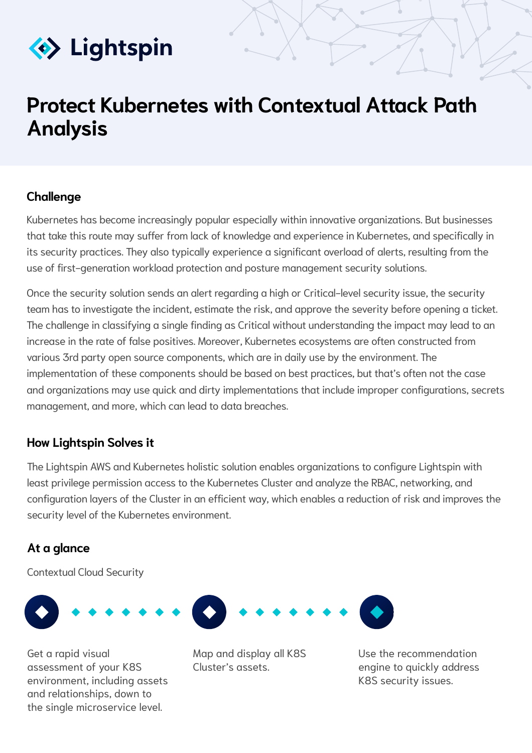

# **Protect Kubernetes with Contextual Attack Path Analysis**

### **Challenge**

Kubernetes has become increasingly popular especially within innovative organizations. But businesses that take this route may suffer from lack of knowledge and experience in Kubernetes, and specifically in its security practices. They also typically experience a significant overload of alerts, resulting from the use of first-generation workload protection and posture management security solutions.

Once the security solution sends an alert regarding a high or Critical-level security issue, the security team has to investigate the incident, estimate the risk, and approve the severity before opening a ticket. The challenge in classifying a single finding as Critical without understanding the impact may lead to an increase in the rate of false positives. Moreover, Kubernetes ecosystems are often constructed from various 3rd party open source components, which are in daily use by the environment. The implementation of these components should be based on best practices, but that's often not the case and organizations may use quick and dirty implementations that include improper configurations, secrets management, and more, which can lead to data breaches.

## **How Lightspin Solves it**

The Lightspin AWS and Kubernetes holistic solution enables organizations to configure Lightspin with least privilege permission access to the Kubernetes Cluster and analyze the RBAC, networking, and configuration layers of the Cluster in an efficient way, which enables a reduction of risk and improves the security level of the Kubernetes environment.

### **At a glance**

Contextual Cloud Security



Get a rapid visual assessment of your K8S environment, including assets and relationships, down to the single microservice level.

Map and display all K8S Cluster's assets.



Use the recommendation engine to quickly address K8S security issues.